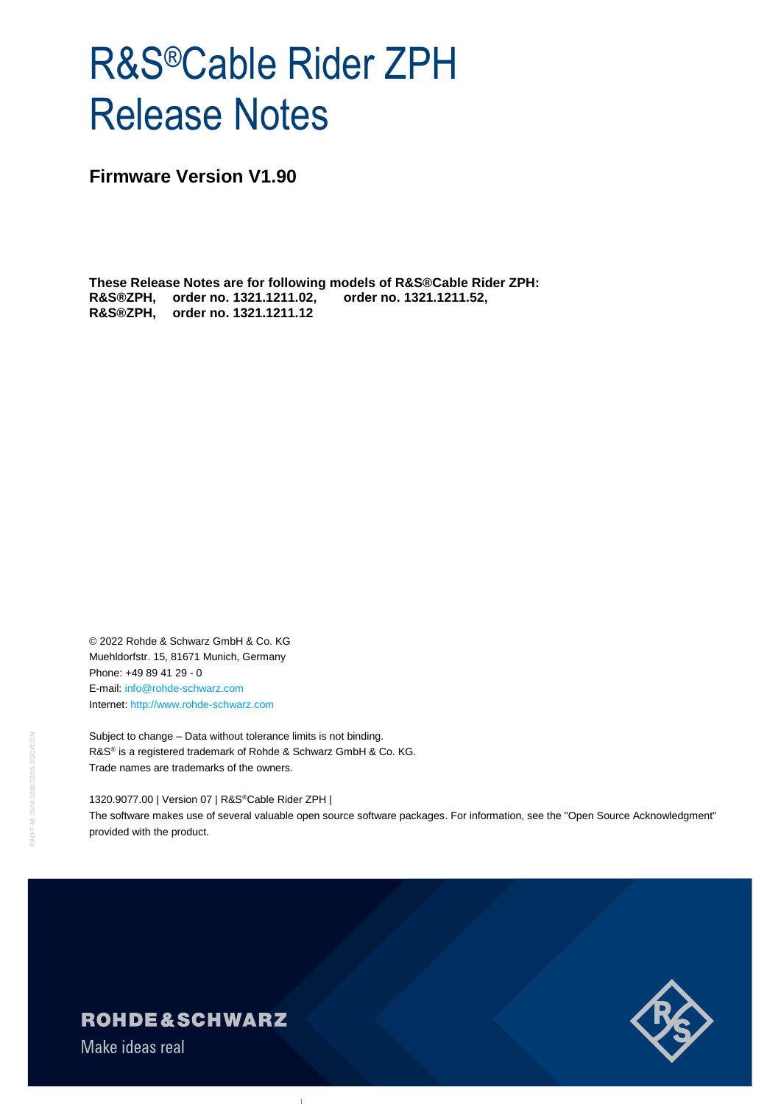# R&S®Cable Rider ZPH Release Notes

**Firmware Version V1.90**

**These Release Notes are for following models of R&S®Cable Rider ZPH: R&S®ZPH, order no. 1321.1211.02, order no. 1321.1211.52, R&S®ZPH, order no. 1321.1211.12**

© 2022 Rohde & Schwarz GmbH & Co. KG Muehldorfstr. 15, 81671 Munich, Germany Phone: +49 89 41 29 - 0 E-mail: [info@rohde-schwarz.com](mailto:info@rohde-schwarz.com) Internet[: http://www.rohde-schwarz.com](http://www.rohde-schwarz.com/)

Subject to change – Data without tolerance limits is not binding. R&S<sup>®</sup> is a registered trademark of Rohde & Schwarz GmbH & Co. KG. Trade names are trademarks of the owners.

1320.9077.00 | Version 07 | R&S®Cable Rider ZPH | The software makes use of several valuable open source software packages. For information, see the "Open Source Acknowledgment" provided with the product.



**ROHDE&SCHWARZ** 

Make ideas real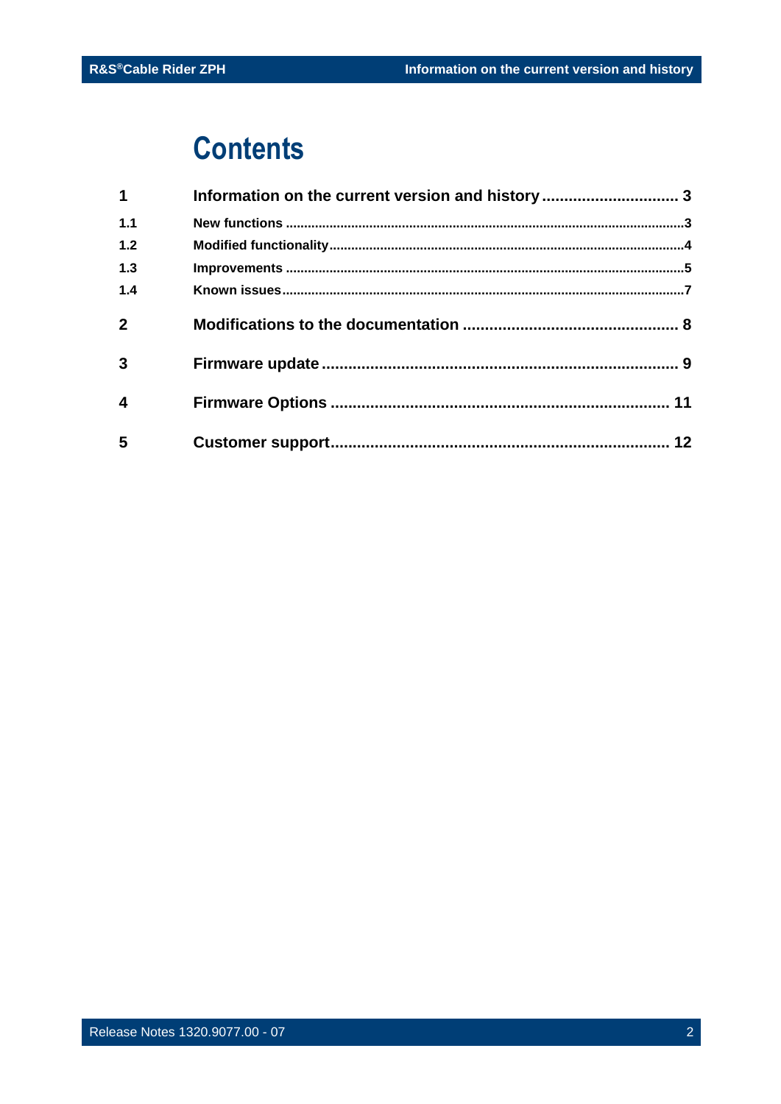## **Contents**

| $\mathbf 1$             | Information on the current version and history  3 |  |
|-------------------------|---------------------------------------------------|--|
| 1.1                     |                                                   |  |
| $1.2$                   |                                                   |  |
| 1.3                     |                                                   |  |
| 1.4                     |                                                   |  |
| $\overline{2}$          |                                                   |  |
| 3                       |                                                   |  |
| $\overline{\mathbf{4}}$ |                                                   |  |
| 5                       |                                                   |  |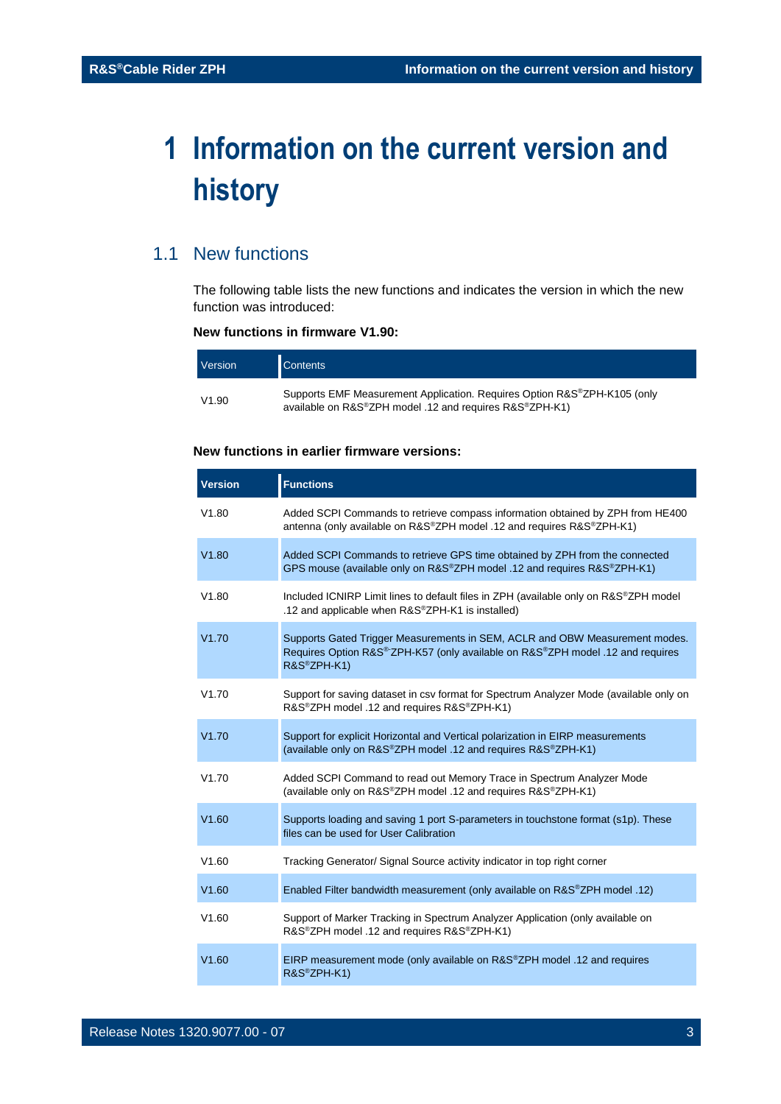## <span id="page-2-0"></span>**1 Information on the current version and history**

## <span id="page-2-1"></span>1.1 New functions

The following table lists the new functions and indicates the version in which the new function was introduced:

### **New functions in firmware V1.90:**

| Version | <b>Contents</b>                                                                                                                     |
|---------|-------------------------------------------------------------------------------------------------------------------------------------|
| V1.90   | Supports EMF Measurement Application. Requires Option R&S®ZPH-K105 (only<br>available on R&S®ZPH model .12 and requires R&S®ZPH-K1) |

### **New functions in earlier firmware versions:**

| <b>Version</b> | <b>Functions</b>                                                                                                                                                                                       |
|----------------|--------------------------------------------------------------------------------------------------------------------------------------------------------------------------------------------------------|
| V1.80          | Added SCPI Commands to retrieve compass information obtained by ZPH from HE400<br>antenna (only available on R&S®ZPH model .12 and requires R&S®ZPH-K1)                                                |
| V1.80          | Added SCPI Commands to retrieve GPS time obtained by ZPH from the connected<br>GPS mouse (available only on R&S®ZPH model .12 and requires R&S®ZPH-K1)                                                 |
| V1.80          | Included ICNIRP Limit lines to default files in ZPH (available only on R&S®ZPH model<br>.12 and applicable when R&S®ZPH-K1 is installed)                                                               |
| V1.70          | Supports Gated Trigger Measurements in SEM, ACLR and OBW Measurement modes.<br>Requires Option R&S <sup>®-</sup> ZPH-K57 (only available on R&S <sup>®</sup> ZPH model .12 and requires<br>R&S®ZPH-K1) |
| V1.70          | Support for saving dataset in csv format for Spectrum Analyzer Mode (available only on<br>R&S <sup>®</sup> ZPH model .12 and requires R&S <sup>®</sup> ZPH-K1)                                         |
| V1.70          | Support for explicit Horizontal and Vertical polarization in EIRP measurements<br>(available only on R&S®ZPH model .12 and requires R&S®ZPH-K1)                                                        |
| V1.70          | Added SCPI Command to read out Memory Trace in Spectrum Analyzer Mode<br>(available only on R&S®ZPH model .12 and requires R&S®ZPH-K1)                                                                 |
| V1.60          | Supports loading and saving 1 port S-parameters in touchstone format (s1p). These<br>files can be used for User Calibration                                                                            |
| V1.60          | Tracking Generator/ Signal Source activity indicator in top right corner                                                                                                                               |
| V1.60          | Enabled Filter bandwidth measurement (only available on R&S®ZPH model .12)                                                                                                                             |
| V1.60          | Support of Marker Tracking in Spectrum Analyzer Application (only available on<br>R&S <sup>®</sup> ZPH model .12 and requires R&S <sup>®</sup> ZPH-K1)                                                 |
| V1.60          | EIRP measurement mode (only available on R&S®ZPH model .12 and requires<br>R&S®ZPH-K1)                                                                                                                 |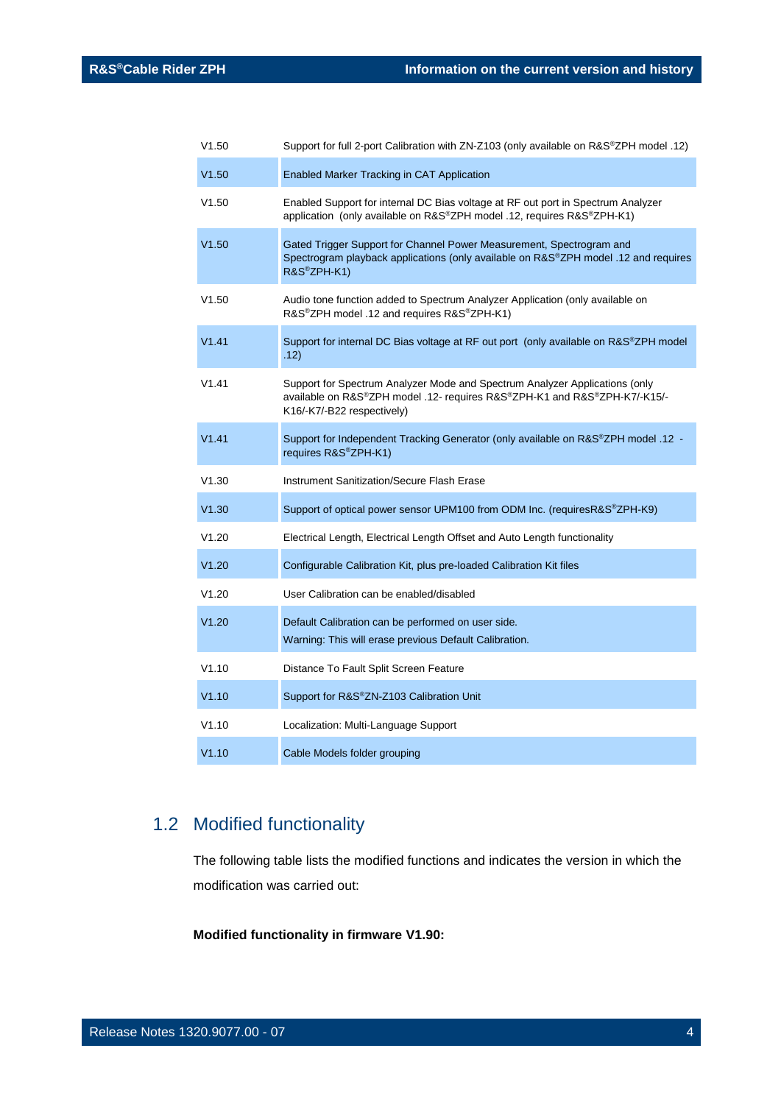| V1.50 | Support for full 2-port Calibration with ZN-Z103 (only available on R&S®ZPH model .12)                                                                                                 |
|-------|----------------------------------------------------------------------------------------------------------------------------------------------------------------------------------------|
| V1.50 | Enabled Marker Tracking in CAT Application                                                                                                                                             |
| V1.50 | Enabled Support for internal DC Bias voltage at RF out port in Spectrum Analyzer<br>application (only available on R&S®ZPH model .12, requires R&S®ZPH-K1)                             |
| V1.50 | Gated Trigger Support for Channel Power Measurement, Spectrogram and<br>Spectrogram playback applications (only available on R&S®ZPH model .12 and requires<br>R&S®ZPH-K1)             |
| V1.50 | Audio tone function added to Spectrum Analyzer Application (only available on<br>R&S®ZPH model .12 and requires R&S®ZPH-K1)                                                            |
| V1.41 | Support for internal DC Bias voltage at RF out port (only available on R&S®ZPH model<br>.12)                                                                                           |
| V1.41 | Support for Spectrum Analyzer Mode and Spectrum Analyzer Applications (only<br>available on R&S®ZPH model .12- requires R&S®ZPH-K1 and R&S®ZPH-K7/-K15/-<br>K16/-K7/-B22 respectively) |
| V1.41 | Support for Independent Tracking Generator (only available on R&S®ZPH model .12 -<br>requires R&S®ZPH-K1)                                                                              |
| V1.30 | <b>Instrument Sanitization/Secure Flash Erase</b>                                                                                                                                      |
| V1.30 | Support of optical power sensor UPM100 from ODM Inc. (requiresR&S®ZPH-K9)                                                                                                              |
| V1.20 | Electrical Length, Electrical Length Offset and Auto Length functionality                                                                                                              |
| V1.20 | Configurable Calibration Kit, plus pre-loaded Calibration Kit files                                                                                                                    |
| V1.20 | User Calibration can be enabled/disabled                                                                                                                                               |
| V1.20 | Default Calibration can be performed on user side.<br>Warning: This will erase previous Default Calibration.                                                                           |
| V1.10 | Distance To Fault Split Screen Feature                                                                                                                                                 |
| V1.10 | Support for R&S®ZN-Z103 Calibration Unit                                                                                                                                               |
| V1.10 | Localization: Multi-Language Support                                                                                                                                                   |
| V1.10 | Cable Models folder grouping                                                                                                                                                           |

## <span id="page-3-0"></span>1.2 Modified functionality

The following table lists the modified functions and indicates the version in which the modification was carried out:

**Modified functionality in firmware V1.90:**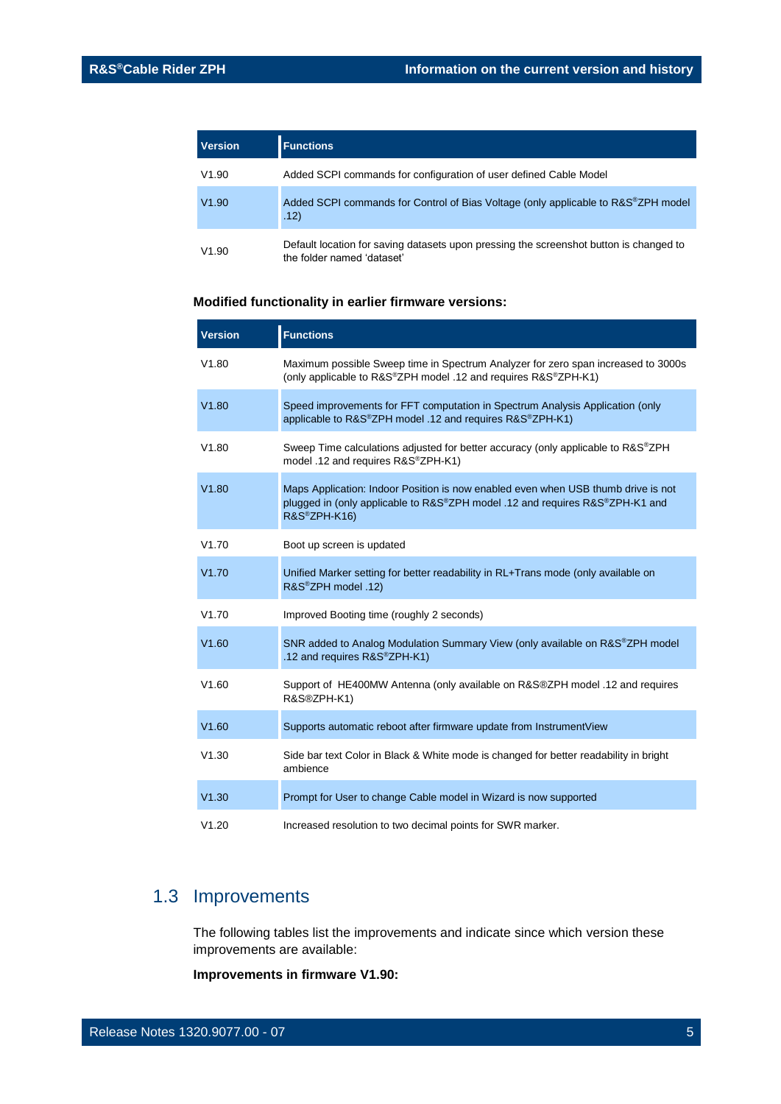| <b>Version</b> | <b>Functions</b>                                                                                                     |
|----------------|----------------------------------------------------------------------------------------------------------------------|
| V1.90          | Added SCPI commands for configuration of user defined Cable Model                                                    |
| V1.90          | Added SCPI commands for Control of Bias Voltage (only applicable to R&S®ZPH model<br>.12)                            |
| V1.90          | Default location for saving datasets upon pressing the screenshot button is changed to<br>the folder named 'dataset' |

### **Modified functionality in earlier firmware versions:**

| <b>Version</b> | <b>Functions</b>                                                                                                                                                                  |
|----------------|-----------------------------------------------------------------------------------------------------------------------------------------------------------------------------------|
| V1.80          | Maximum possible Sweep time in Spectrum Analyzer for zero span increased to 3000s<br>(only applicable to R&S®ZPH model .12 and requires R&S®ZPH-K1)                               |
| V1.80          | Speed improvements for FFT computation in Spectrum Analysis Application (only<br>applicable to R&S®ZPH model .12 and requires R&S®ZPH-K1)                                         |
| V1.80          | Sweep Time calculations adjusted for better accuracy (only applicable to R&S®ZPH<br>model .12 and requires R&S®ZPH-K1)                                                            |
| V1.80          | Maps Application: Indoor Position is now enabled even when USB thumb drive is not<br>plugged in (only applicable to R&S®ZPH model .12 and requires R&S®ZPH-K1 and<br>R&S®ZPH-K16) |
| V1.70          | Boot up screen is updated                                                                                                                                                         |
| V1.70          | Unified Marker setting for better readability in RL+Trans mode (only available on<br>R&S®ZPH model .12)                                                                           |
| V1.70          | Improved Booting time (roughly 2 seconds)                                                                                                                                         |
| V1.60          | SNR added to Analog Modulation Summary View (only available on R&S®ZPH model<br>.12 and requires R&S®ZPH-K1)                                                                      |
| V1.60          | Support of HE400MW Antenna (only available on R&S®ZPH model .12 and requires<br>R&S®ZPH-K1)                                                                                       |
| V1.60          | Supports automatic reboot after firmware update from InstrumentView                                                                                                               |
| V1.30          | Side bar text Color in Black & White mode is changed for better readability in bright<br>ambience                                                                                 |
| V1.30          | Prompt for User to change Cable model in Wizard is now supported                                                                                                                  |
| V1.20          | Increased resolution to two decimal points for SWR marker.                                                                                                                        |

## <span id="page-4-0"></span>1.3 Improvements

The following tables list the improvements and indicate since which version these improvements are available:

**Improvements in firmware V1.90:**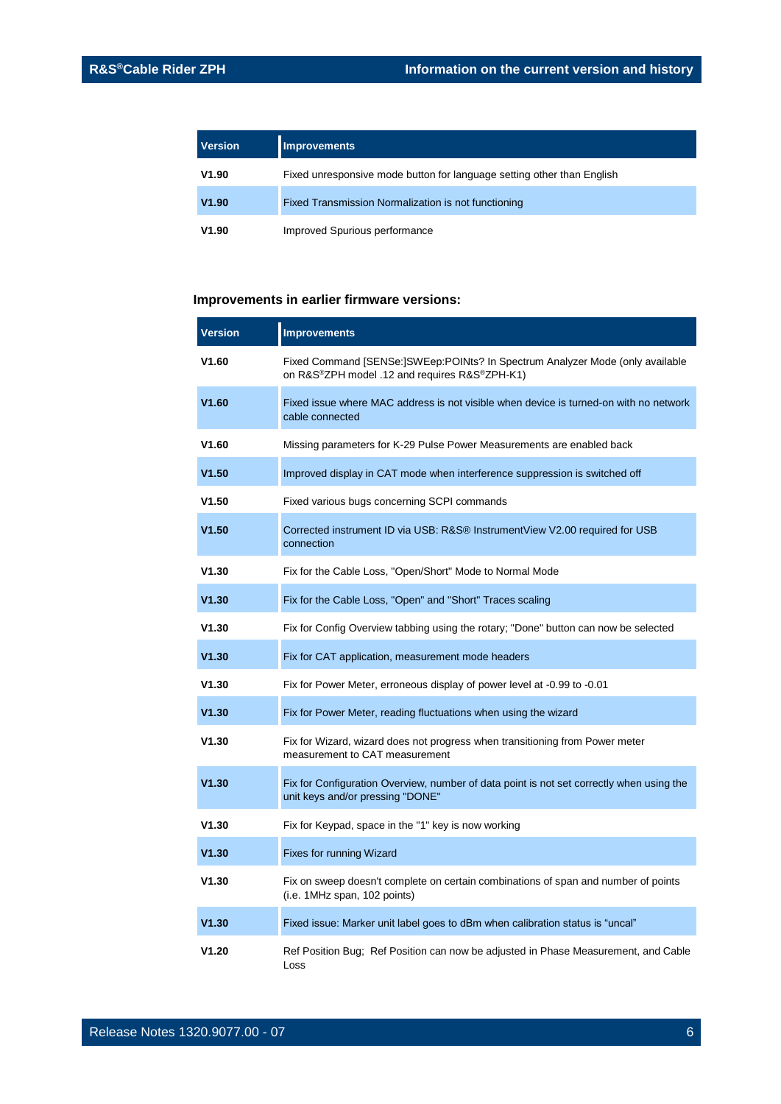| <b>Version</b> | <b>Improvements</b>                                                    |
|----------------|------------------------------------------------------------------------|
| V1.90          | Fixed unresponsive mode button for language setting other than English |
| V1.90          | Fixed Transmission Normalization is not functioning                    |
| V1.90          | Improved Spurious performance                                          |

### **Improvements in earlier firmware versions:**

| <b>Version</b> | <b>Improvements</b>                                                                                                            |
|----------------|--------------------------------------------------------------------------------------------------------------------------------|
| V1.60          | Fixed Command [SENSe:]SWEep:POINts? In Spectrum Analyzer Mode (only available<br>on R&S®ZPH model .12 and requires R&S®ZPH-K1) |
| V1.60          | Fixed issue where MAC address is not visible when device is turned-on with no network<br>cable connected                       |
| V1.60          | Missing parameters for K-29 Pulse Power Measurements are enabled back                                                          |
| V1.50          | Improved display in CAT mode when interference suppression is switched off                                                     |
| V1.50          | Fixed various bugs concerning SCPI commands                                                                                    |
| V1.50          | Corrected instrument ID via USB: R&S® InstrumentView V2.00 required for USB<br>connection                                      |
| V1.30          | Fix for the Cable Loss, "Open/Short" Mode to Normal Mode                                                                       |
| V1.30          | Fix for the Cable Loss, "Open" and "Short" Traces scaling                                                                      |
| V1.30          | Fix for Config Overview tabbing using the rotary; "Done" button can now be selected                                            |
| V1.30          | Fix for CAT application, measurement mode headers                                                                              |
| V1.30          | Fix for Power Meter, erroneous display of power level at -0.99 to -0.01                                                        |
| V1.30          | Fix for Power Meter, reading fluctuations when using the wizard                                                                |
| V1.30          | Fix for Wizard, wizard does not progress when transitioning from Power meter<br>measurement to CAT measurement                 |
| V1.30          | Fix for Configuration Overview, number of data point is not set correctly when using the<br>unit keys and/or pressing "DONE"   |
| V1.30          | Fix for Keypad, space in the "1" key is now working                                                                            |
| V1.30          | Fixes for running Wizard                                                                                                       |
| V1.30          | Fix on sweep doesn't complete on certain combinations of span and number of points<br>(i.e. 1MHz span, 102 points)             |
| V1.30          | Fixed issue: Marker unit label goes to dBm when calibration status is "uncal"                                                  |
| V1.20          | Ref Position Bug; Ref Position can now be adjusted in Phase Measurement, and Cable<br>Loss                                     |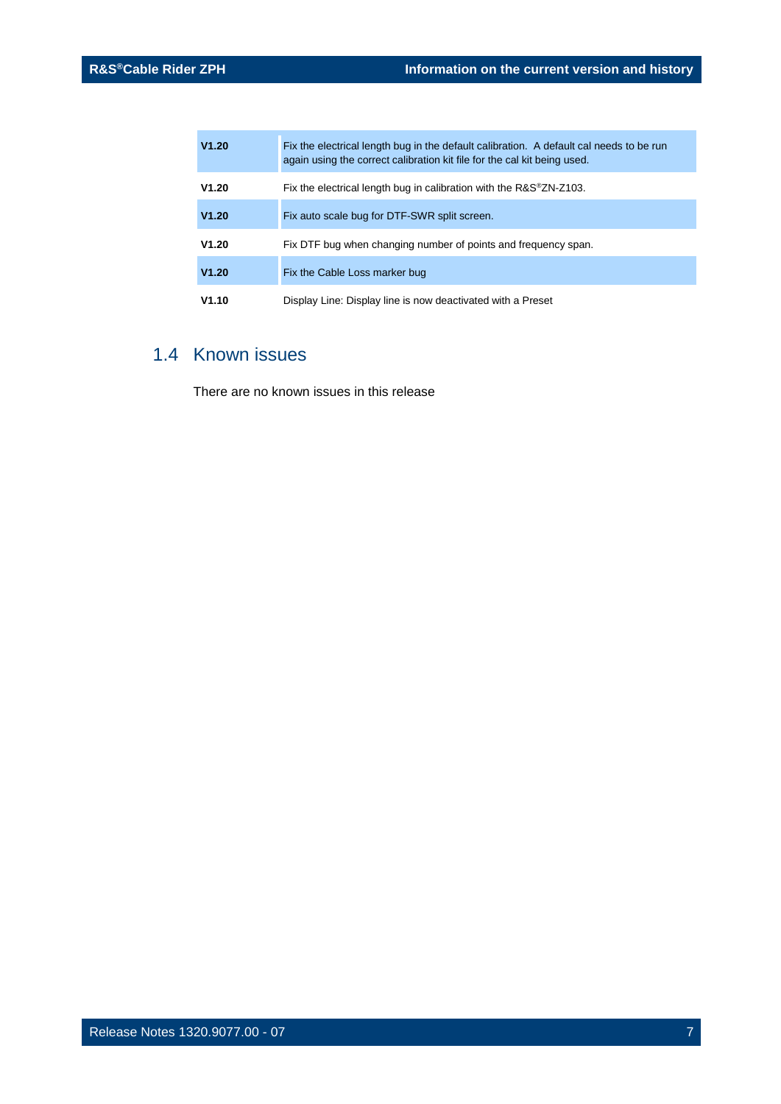| V1.20 | Fix the electrical length bug in the default calibration. A default cal needs to be run<br>again using the correct calibration kit file for the cal kit being used. |
|-------|---------------------------------------------------------------------------------------------------------------------------------------------------------------------|
| V1.20 | Fix the electrical length bug in calibration with the R&S <sup>®</sup> ZN-Z103.                                                                                     |
| V1.20 | Fix auto scale bug for DTF-SWR split screen.                                                                                                                        |
| V1.20 | Fix DTF bug when changing number of points and frequency span.                                                                                                      |
| V1.20 | Fix the Cable Loss marker bug                                                                                                                                       |
| V1.10 | Display Line: Display line is now deactivated with a Preset                                                                                                         |

## <span id="page-6-0"></span>1.4 Known issues

There are no known issues in this release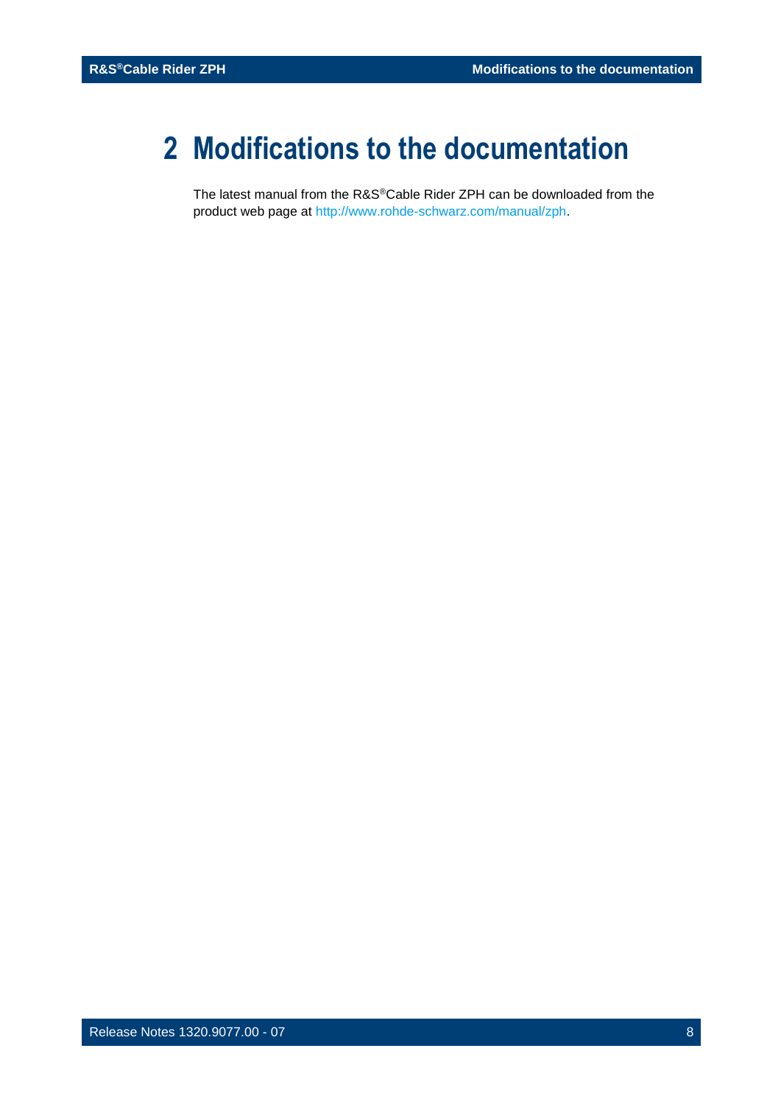## <span id="page-7-0"></span>**2 Modifications to the documentation**

The latest manual from the R&S®Cable Rider ZPH can be downloaded from the product web page at [http://www.rohde-schwarz.com/manual/zph.](http://www.rohde-schwarz.com/manual/zph)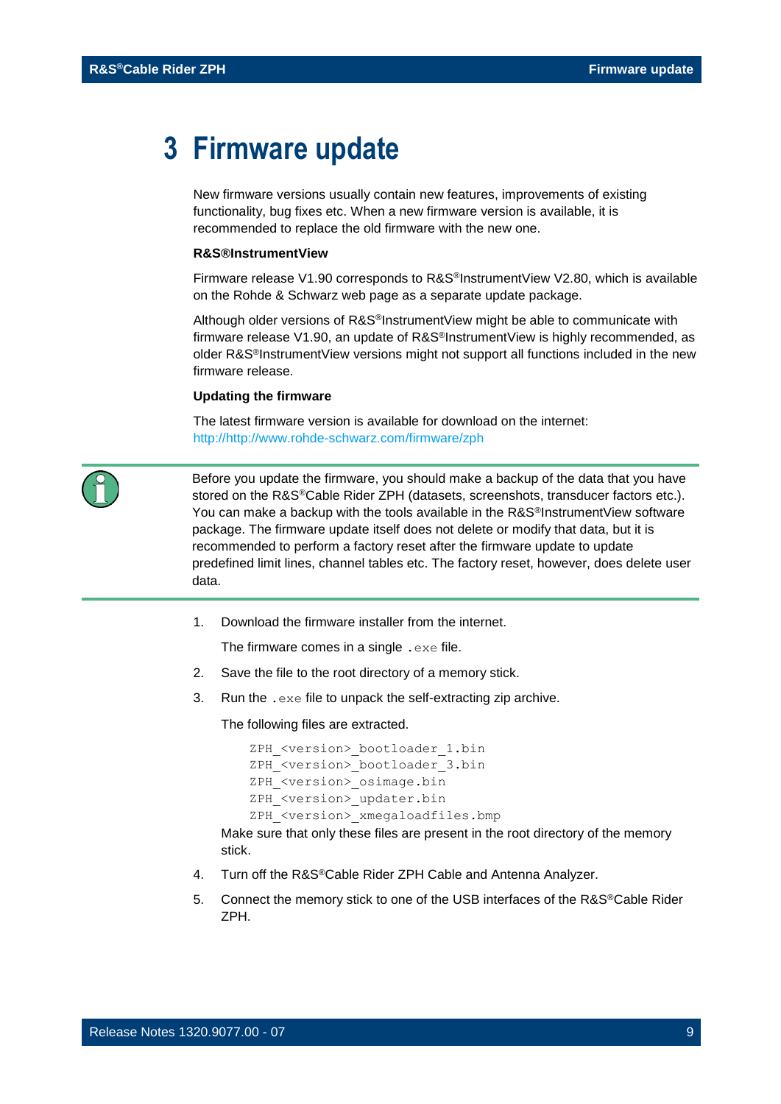## <span id="page-8-0"></span>**3 Firmware update**

New firmware versions usually contain new features, improvements of existing functionality, bug fixes etc. When a new firmware version is available, it is recommended to replace the old firmware with the new one.

#### **R&S®InstrumentView**

Firmware release V1.90 corresponds to R&S®InstrumentView V2.80, which is available on the Rohde & Schwarz web page as a separate update package.

Although older versions of R&S®InstrumentView might be able to communicate with firmware release V1.90, an update of R&S<sup>®</sup>InstrumentView is highly recommended, as older R&S<sup>®</sup>InstrumentView versions might not support all functions included in the new firmware release.

#### **Updating the firmware**

The latest firmware version is available for download on the internet: http:/[/http://www.rohde-schwarz.com/firmware/zph](http://www.rohde-schwarz.com/firmware/zph)



Before you update the firmware, you should make a backup of the data that you have stored on the R&S®Cable Rider ZPH (datasets, screenshots, transducer factors etc.). You can make a backup with the tools available in the R&S<sup>®</sup>InstrumentView software package. The firmware update itself does not delete or modify that data, but it is recommended to perform a factory reset after the firmware update to update predefined limit lines, channel tables etc. The factory reset, however, does delete user data.

1. Download the firmware installer from the internet.

The firmware comes in a single .exe file.

- 2. Save the file to the root directory of a memory stick.
- 3. Run the .exe file to unpack the self-extracting zip archive.

The following files are extracted.

```
ZPH <version> bootloader 1.bin
ZPH <version> bootloader 3.bin
ZPH <version> osimage.bin
ZPH <version> updater.bin
ZPH <version> xmegaloadfiles.bmp
```
Make sure that only these files are present in the root directory of the memory stick.

- 4. Turn off the R&S®Cable Rider ZPH Cable and Antenna Analyzer.
- 5. Connect the memory stick to one of the USB interfaces of the R&S®Cable Rider ZPH.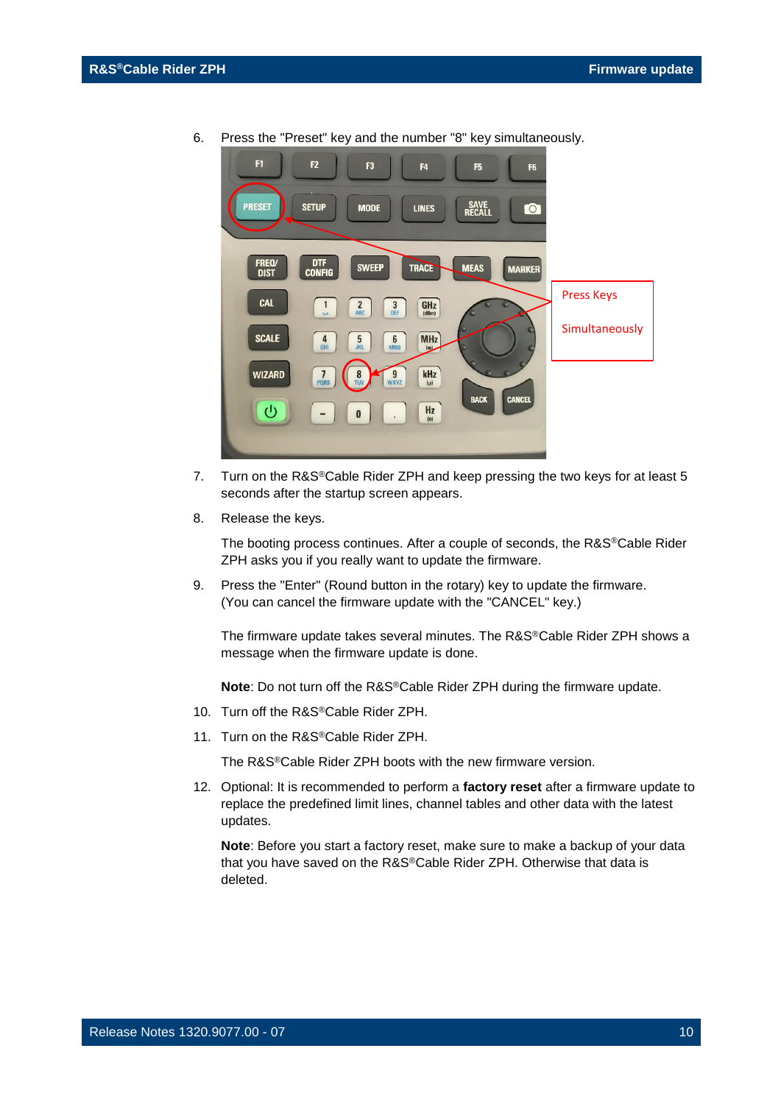

6. Press the "Preset" key and the number "8" key simultaneously.

- 7. Turn on the R&S<sup>®</sup>Cable Rider ZPH and keep pressing the two keys for at least 5 seconds after the startup screen appears.
- 8. Release the keys.

The booting process continues. After a couple of seconds, the R&S®Cable Rider ZPH asks you if you really want to update the firmware.

9. Press the "Enter" (Round button in the rotary) key to update the firmware. (You can cancel the firmware update with the "CANCEL" key.)

The firmware update takes several minutes. The R&S®Cable Rider ZPH shows a message when the firmware update is done.

**Note**: Do not turn off the R&S®Cable Rider ZPH during the firmware update.

- 10. Turn off the R&S®Cable Rider ZPH.
- 11. Turn on the R&S®Cable Rider ZPH.

The R&S®Cable Rider ZPH boots with the new firmware version.

12. Optional: It is recommended to perform a **factory reset** after a firmware update to replace the predefined limit lines, channel tables and other data with the latest updates.

**Note**: Before you start a factory reset, make sure to make a backup of your data that you have saved on the R&S®Cable Rider ZPH. Otherwise that data is deleted.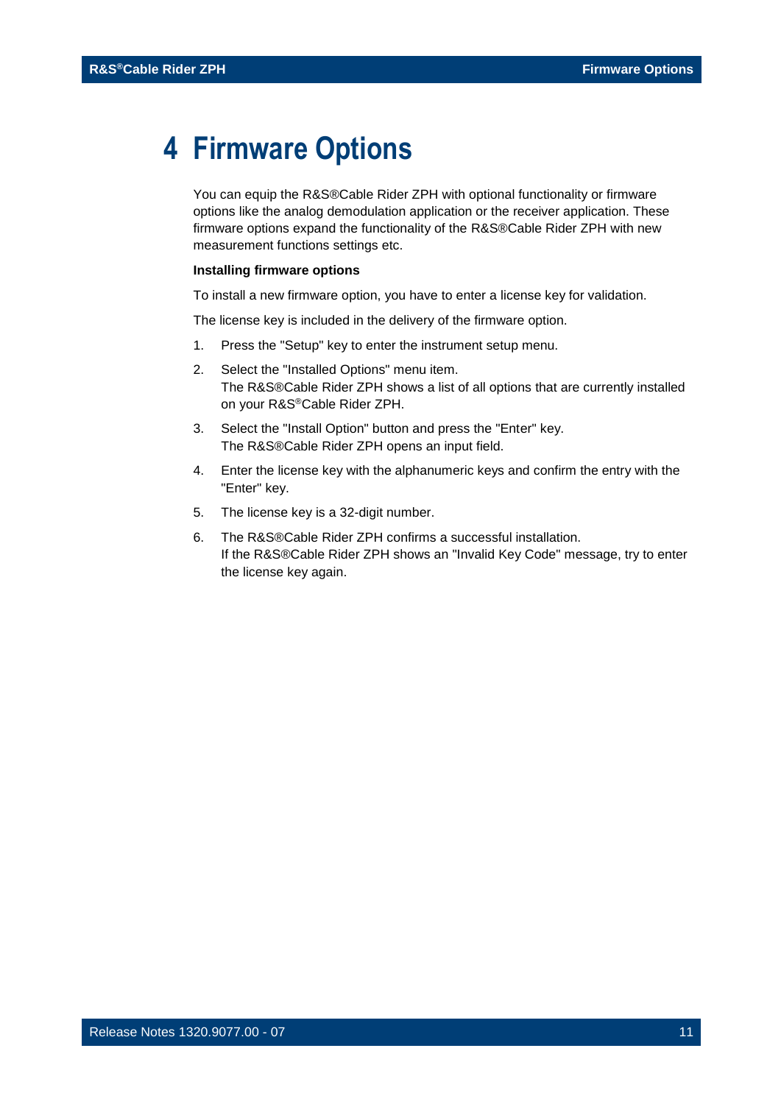## <span id="page-10-0"></span>**4 Firmware Options**

You can equip the R&S®Cable Rider ZPH with optional functionality or firmware options like the analog demodulation application or the receiver application. These firmware options expand the functionality of the R&S®Cable Rider ZPH with new measurement functions settings etc.

#### **Installing firmware options**

To install a new firmware option, you have to enter a license key for validation.

The license key is included in the delivery of the firmware option.

- 1. Press the "Setup" key to enter the instrument setup menu.
- 2. Select the "Installed Options" menu item. The R&S®Cable Rider ZPH shows a list of all options that are currently installed on your R&S®Cable Rider ZPH.
- 3. Select the "Install Option" button and press the "Enter" key. The R&S®Cable Rider ZPH opens an input field.
- 4. Enter the license key with the alphanumeric keys and confirm the entry with the "Enter" key.
- 5. The license key is a 32-digit number.
- 6. The R&S®Cable Rider ZPH confirms a successful installation. If the R&S®Cable Rider ZPH shows an "Invalid Key Code" message, try to enter the license key again.